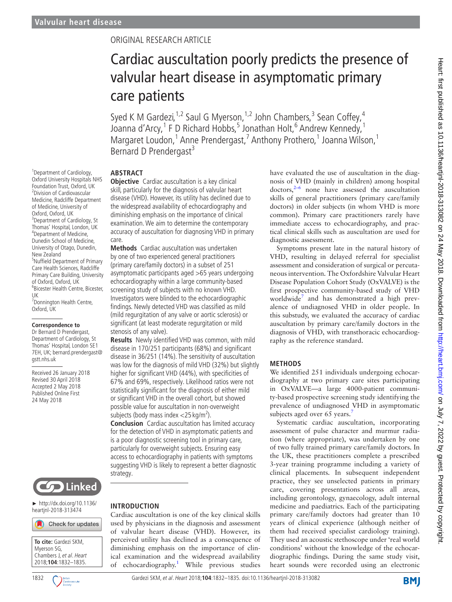1 Department of Cardiology, Oxford University Hospitals NHS Foundation Trust, Oxford, UK <sup>2</sup> <sup>2</sup> Division of Cardiovascular Medicine, Radcliffe Department of Medicine, University of Oxford, Oxford, UK <sup>3</sup>Department of Cardiology, St Thomas' Hospital, London, UK <sup>4</sup> Department of Medicine, Dunedin School of Medicine, University of Otago, Dunedin,

New Zealand

UK

Oxford, UK

gstt.nhs.uk

5 Nuffield Department of Primary Care Health Sciences, Radcliffe Primary Care Building, University of Oxford, Oxford, UK 6 Bicester Health Centre, Bicester,

<sup>7</sup> Donnington Health Centre,

**Correspondence to** Dr Bernard D Prendergast, Department of Cardiology, St Thomas' Hospital, London SE1 7EH, UK; bernard.prendergast@

Received 26 January 2018 Revised 30 April 2018 Accepted 2 May 2018 Published Online First 24 May 2018

## Original research article

# Cardiac auscultation poorly predicts the presence of valvular heart disease in asymptomatic primary care patients

Syed K M Gardezi,  $1.2$  Saul G Myerson,  $1.2$  John Chambers,  $3$  Sean Coffey,  $4$ Joanna d'Arcy, <sup>1</sup> F D Richard Hobbs, <sup>5</sup> Jonathan Holt, <sup>6</sup> Andrew Kennedy, <sup>1</sup> Margaret Loudon,<sup>1</sup> Anne Prendergast,<sup>7</sup> Anthony Prothero,<sup>1</sup> Joanna Wilson,<sup>1</sup> Bernard D Prendergast<sup>3</sup>

#### **Abstract**

**Objective** Cardiac auscultation is a key clinical skill, particularly for the diagnosis of valvular heart disease (VHD). However, its utility has declined due to the widespread availability of echocardiography and diminishing emphasis on the importance of clinical examination. We aim to determine the contemporary accuracy of auscultation for diagnosing VHD in primary care.

**Methods** Cardiac auscultation was undertaken by one of two experienced general practitioners (primary care/family doctors) in a subset of 251 asymptomatic participants aged >65 years undergoing echocardiography within a large community-based screening study of subjects with no known VHD. Investigators were blinded to the echocardiographic findings. Newly detected VHD was classified as mild (mild regurgitation of any valve or aortic sclerosis) or significant (at least moderate regurgitation or mild stenosis of any valve).

**Results** Newly identified VHD was common, with mild disease in 170/251 participants (68%) and significant disease in 36/251 (14%). The sensitivity of auscultation was low for the diagnosis of mild VHD (32%) but slightly higher for significant VHD (44%), with specificities of 67% and 69%, respectively. Likelihood ratios were not statistically significant for the diagnosis of either mild or significant VHD in the overall cohort, but showed possible value for auscultation in non-overweight subjects (body mass index  $<$ 25 kg/m<sup>2</sup>).

**Conclusion** Cardiac auscultation has limited accuracy for the detection of VHD in asymptomatic patients and is a poor diagnostic screening tool in primary care, particularly for overweight subjects. Ensuring easy access to echocardiography in patients with symptoms suggesting VHD is likely to represent a better diagnostic strategy.



► [http://dx.doi.org/10.1136/](http://dx.doi.org/10.1136/ heartjnl-2018-313474)  [heartjnl-2018-313474](http://dx.doi.org/10.1136/ heartjnl-2018-313474)

|                                         | Check for updates |  |  |
|-----------------------------------------|-------------------|--|--|
|                                         |                   |  |  |
| To cite: Gardezi SKM,                   |                   |  |  |
| Myerson SG,<br>Chambers J, et al. Heart |                   |  |  |
|                                         |                   |  |  |

#### **Introduction**

Cardiac auscultation is one of the key clinical skills used by physicians in the diagnosis and assessment of valvular heart disease (VHD). However, its perceived utility has declined as a consequence of diminishing emphasis on the importance of clinical examination and the widespread availability of echocardiography.<sup>[1](#page-3-0)</sup> While previous studies have evaluated the use of auscultation in the diagnosis of VHD (mainly in children) among hospital  $dotors<sub>1</sub><sup>2–6</sup>$  none have assessed the auscultation skills of general practitioners (primary care/family doctors) in older subjects (in whom VHD is more common). Primary care practitioners rarely have immediate access to echocardiography, and practical clinical skills such as auscultation are used for diagnostic assessment.

Symptoms present late in the natural history of VHD, resulting in delayed referral for specialist assessment and consideration of surgical or percutaneous intervention. The Oxfordshire Valvular Heart Disease Population Cohort Study (OxVALVE) is the first prospective community-based study of VHD worldwide<sup>7</sup> and has demonstrated a high prevalence of undiagnosed VHD in older people. In this substudy, we evaluated the accuracy of cardiac auscultation by primary care/family doctors in the diagnosis of VHD, with transthoracic echocardiography as the reference standard.

#### **Methods**

We identified 251 individuals undergoing echocardiography at two primary care sites participating in OxVALVE—a large 4000-patient community-based prospective screening study identifying the prevalence of undiagnosed VHD in asymptomatic subjects aged over 65 years.<sup>7</sup>

Systematic cardiac auscultation, incorporating assessment of pulse character and murmur radiation (where appropriate), was undertaken by one of two fully trained primary care/family doctors. In the UK, these practitioners complete a prescribed 3-year training programme including a variety of clinical placements. In subsequent independent practice, they see unselected patients in primary care, covering presentations across all areas, including gerontology, gynaecology, adult internal medicine and paediatrics. Each of the participating primary care/family doctors had greater than 10 years of clinical experience (although neither of them had received specialist cardiology training). They used an acoustic stethoscope under 'real world conditions' without the knowledge of the echocardiographic findings. During the same study visit, heart sounds were recorded using an electronic

1832 C Densish Gardezi SKM, et al. Heart 2018;**104**:1832–1835. doi:10.1136/heartjnl-2018-313082

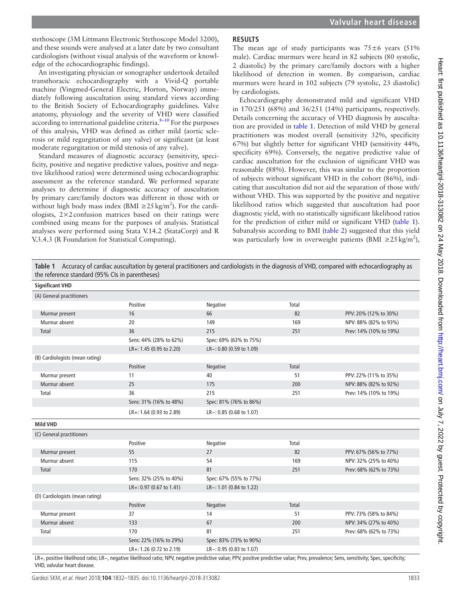stethoscope (3M Littmann Electronic Stethoscope Model 3200), and these sounds were analysed at a later date by two consultant cardiologists (without visual analysis of the waveform or knowledge of the echocardiographic findings).

An investigating physician or sonographer undertook detailed transthoracic echocardiography with a Vivid-Q portable machine (Vingmed-General Electric, Horton, Norway) immediately following auscultation using standard views according to the British Society of Echocardiography guidelines. Valve anatomy, physiology and the severity of VHD were classified according to international guideline criteria. $8-10$  For the purposes of this analysis, VHD was defined as either mild (aortic sclerosis or mild regurgitation of any valve) or significant (at least moderate regurgitation or mild stenosis of any valve).

Standard measures of diagnostic accuracy (sensitivity, specificity, positive and negative predictive values, positive and negative likelihood ratios) were determined using echocardiographic assessment as the reference standard. We performed separate analyses to determine if diagnostic accuracy of auscultation by primary care/family doctors was different in those with or without high body mass index (BMI  $\geq$ 25 kg/m<sup>2</sup>). For the cardiologists,  $2 \times 2$  confusion matrices based on their ratings were combined using means for the purposes of analysis. Statistical analyses were performed using Stata V.14.2 (StataCorp) and R V.3.4.3 (R Foundation for Statistical Computing).

#### **Results**

The mean age of study participants was  $75\pm6$  years  $(51\%$ male). Cardiac murmurs were heard in 82 subjects (80 systolic, 2 diastolic) by the primary care/family doctors with a higher likelihood of detection in women. By comparison, cardiac murmurs were heard in 102 subjects (79 systolic, 23 diastolic) by cardiologists.

Echocardiography demonstrated mild and significant VHD in 170/251 (68%) and 36/251 (14%) participants, respectively. Details concerning the accuracy of VHD diagnosis by auscultation are provided in table 1. Detection of mild VHD by general practitioners was modest overall (sensitivity 32%, specificity 67%) but slightly better for significant VHD (sensitivity 44%, specificity 69%). Conversely, the negative predictive value of cardiac auscultation for the exclusion of significant VHD was reasonable (88%). However, this was similar to the proportion of subjects without significant VHD in the cohort (86%), indicating that auscultation did not aid the separation of those with/ without VHD. This was supported by the positive and negative likelihood ratios which suggested that auscultation had poor diagnostic yield, with no statistically significant likelihood ratios for the prediction of either mild or significant VHD (table 1). Subanalysis according to BMI ([table](#page-2-0) 2) suggested that this yield was particularly low in overweight patients (BMI  $\geq 25 \text{ kg/m}^2$ ),

**Table 1** Accuracy of cardiac auscultation by general practitioners and cardiologists in the diagnosis of VHD, compared with echocardiography as the reference standard (95% CIs in parentheses)

| <b>Significant VHD</b>          |                          |                          |       |                        |
|---------------------------------|--------------------------|--------------------------|-------|------------------------|
| (A) General practitioners       |                          |                          |       |                        |
|                                 | Positive                 | Negative                 | Total |                        |
| Murmur present                  | 16                       | 66                       | 82    | PPV: 20% (12% to 30%)  |
| Murmur absent                   | 20                       | 149                      | 169   | NPV: 88% (82% to 93%)  |
| Total                           | 36                       | 215                      | 251   | Prev: 14% (10% to 19%) |
|                                 | Sens: 44% (28% to 62%)   | Spec: 69% (63% to 75%)   |       |                        |
|                                 | LR+: 1.45 (0.95 to 2.20) | LR-: 0.80 (0.59 to 1.09) |       |                        |
| (B) Cardiologists (mean rating) |                          |                          |       |                        |
|                                 | Positive                 | Negative                 | Total |                        |
| Murmur present                  | 11                       | 40                       | 51    | PPV: 22% (11% to 35%)  |
| Murmur absent                   | 25                       | 175                      | 200   | NPV: 88% (82% to 92%)  |
| Total                           | 36                       | 215                      | 251   | Prev: 14% (10% to 19%) |
|                                 | Sens: 31% (16% to 48%)   | Spec: 81% (76% to 86%)   |       |                        |
|                                 | LR+: 1.64 (0.93 to 2.89) | LR-: 0.85 (0.68 to 1.07) |       |                        |
| <b>Mild VHD</b>                 |                          |                          |       |                        |
| (C) General practitioners       |                          |                          |       |                        |
|                                 | Positive                 | Negative                 | Total |                        |
| Murmur present                  | 55                       | 27                       | 82    | PPV: 67% (56% to 77%)  |
| Murmur absent                   | 115                      | 54                       | 169   | NPV: 32% (25% to 40%)  |
| Total                           | 170                      | 81                       | 251   | Prev: 68% (62% to 73%) |
|                                 | Sens: 32% (25% to 40%)   | Spec: 67% (55% to 77%)   |       |                        |
|                                 | LR+: 0.97 (0.67 to 1.41) | LR-: 1.01 (0.84 to 1.22) |       |                        |
| (D) Cardiologists (mean rating) |                          |                          |       |                        |
|                                 | Positive                 | Negative                 | Total |                        |
| Murmur present                  | 37                       | 14                       | 51    | PPV: 73% (58% to 84%)  |
| Murmur absent                   | 133                      | 67                       | 200   | NPV: 34% (27% to 40%)  |
| Total                           | 170                      | 81                       | 251   | Prev: 68% (62% to 73%) |
|                                 | Sens: 22% (16% to 29%)   | Spec: 83% (73% to 90%)   |       |                        |
|                                 | LR+: 1.26 (0.72 to 2.19) | LR-: 0.95 (0.83 to 1.07) |       |                        |

LR+, positive likelihood ratio; LR−, negative likelihood ratio; NPV, negative predictive value; PPV, positive predictive value; Prev, prevalence; Sens, sensitivity; Spec, specificity; VHD, valvular heart disease.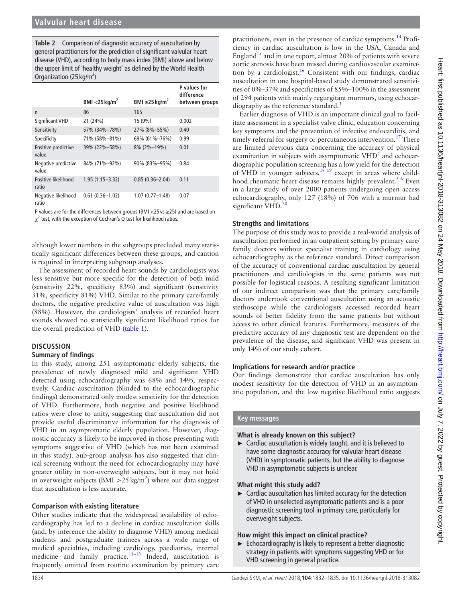<span id="page-2-0"></span>**Table 2** Comparison of diagnostic accuracy of auscultation by general practitioners for the prediction of significant valvular heart disease (VHD), according to body mass index (BMI) above and below the upper limit of 'healthy weight' as defined by the World Health Organization (25 kg/m<sup>2</sup>)

|                              |                           |                                 | <b>P</b> values for<br>difference |
|------------------------------|---------------------------|---------------------------------|-----------------------------------|
|                              | BMI <25 kg/m <sup>2</sup> | BMI $\geq$ 25 kg/m <sup>2</sup> | between groups                    |
| $\mathsf{n}$                 | 86                        | 165                             |                                   |
| Significant VHD              | 21 (24%)                  | 15 (9%)                         | 0.002                             |
| Sensitivity                  | 57% (34%-78%)             | 27% (8%-55%)                    | 0.40                              |
| Specificity                  | 71% (58%-81%)             | 69% (61%-76%)                   | 0.99                              |
| Positive predictive<br>value | 39% (22%-58%)             | $8\%$ (2%-19%)                  | 0.01                              |
| Negative predictive<br>value | 84% (71%-92%)             | 90% (83%-95%)                   | 0.84                              |
| Positive likelihood<br>ratio | $1.95(1.15 - 3.32)$       | $0.85(0.36 - 2.04)$             | 0.11                              |
| Negative likelihood<br>ratio | $0.61(0.36 - 1.02)$       | $1.07(0.77 - 1.48)$             | 0.07                              |

P values are for the differences between groups (BMI <25 vs ≥25) and are based on  $\chi^2$  test, with the exception of Cochran's Q test for likelihood ratios.

although lower numbers in the subgroups precluded many statistically significant differences between these groups, and caution is required in interpreting subgroup analyses.

The assessment of recorded heart sounds by cardiologists was less sensitive but more specific for the detection of both mild (sensitivity 22%, specificity 83%) and significant (sensitivity 31%, specificity 81%) VHD. Similar to the primary care/family doctors, the negative predictive value of auscultation was high (88%). However, the cardiologists' analysis of recorded heart sounds showed no statistically significant likelihood ratios for the overall prediction of VHD (table 1).

#### **Discussion**

#### **Summary of findings**

In this study, among 251 asymptomatic elderly subjects, the prevalence of newly diagnosed mild and significant VHD detected using echocardiography was 68% and 14%, respectively. Cardiac auscultation (blinded to the echocardiographic findings) demonstrated only modest sensitivity for the detection of VHD. Furthermore, both negative and positive likelihood ratios were close to unity, suggesting that auscultation did not provide useful discriminative information for the diagnosis of VHD in an asymptomatic elderly population. However, diagnostic accuracy is likely to be improved in those presenting with symptoms suggestive of VHD (which has not been examined in this study). Sub-group analysis has also suggested that clinical screening without the need for echocardiography may have greater utility in non-overweight subjects, but it may not hold in overweight subjects (BMI  $>$  25 kg/m<sup>2</sup>) where our data suggest that auscultation is less accurate.

#### **Comparison with existing literature**

Other studies indicate that the widespread availability of echocardiography has led to a decline in cardiac auscultation skills (and, by inference the ability to diagnose VHD) among medical students and postgraduate trainees across a wide range of medical specialties, including cardiology, paediatrics, internal medicine and family practice.<sup>11-13</sup> Indeed, auscultation is frequently omitted from routine examination by primary care

practitioners, even in the presence of cardiac symptoms[.14](#page-3-5) Proficiency in cardiac auscultation is low in the USA, Canada and England<sup>15</sup> and in one report, almost 20% of patients with severe aortic stenosis have been missed during cardiovascular examina-tion by a cardiologist.<sup>[16](#page-3-7)</sup> Consistent with our findings, cardiac auscultation in one hospital-based study demonstrated sensitivities of 0%–37%and specificities of 85%–100% in the assessment of 294 patients with mainly regurgitant murmurs, using echocar-diography as the reference standard.<sup>[3](#page-3-8)</sup>

Earlier diagnosis of VHD is an important clinical goal to facilitate assessment in a specialist valve clinic, education concerning key symptoms and the prevention of infective endocarditis, and timely referral for surgery or percutaneous intervention.<sup>[17](#page-3-9)</sup> There are limited previous data concerning the accuracy of physical examination in subjects with asymptomatic  $VHD<sup>2</sup>$  $VHD<sup>2</sup>$  $VHD<sup>2</sup>$  and echocardiographic population screening has a low yield for the detection of VHD in younger subjects,<sup>[18 19](#page-3-10)</sup> except in areas where childhood rheumatic heart disease remains highly prevalent.<sup>5 6</sup> Even in a large study of over 2000 patients undergoing open access echocardiography, only 127 (18%) of 706 with a murmur had significant VHD.<sup>2</sup>

#### **Strengths and limitations**

The purpose of this study was to provide a real-world analysis of auscultation performed in an outpatient setting by primary care/ family doctors without specialist training in cardiology using echocardiography as the reference standard. Direct comparison of the accuracy of conventional cardiac auscultation by general practitioners and cardiologists in the same patients was not possible for logistical reasons. A resulting significant limitation of our indirect comparison was that the primary care/family doctors undertook conventional auscultation using an acoustic stethoscope while the cardiologists accessed recorded heart sounds of better fidelity from the same patients but without access to other clinical features. Furthermore, measures of the predictive accuracy of any diagnostic test are dependent on the prevalence of the disease, and significant VHD was present in only 14% of our study cohort.

#### **Implications for research and/or practice**

Our findings demonstrate that cardiac auscultation has only modest sensitivity for the detection of VHD in an asymptomatic population, and the low negative likelihood ratio suggests

### **Key messages**

#### **What is already known on this subject?**

► Cardiac auscultation is widely taught, and it is believed to have some diagnostic accuracy for valvular heart disease (VHD) in symptomatic patients, but the ability to diagnose VHD in asymptomatic subjects is unclear.

#### **What might this study add?**

 $\blacktriangleright$  Cardiac auscultation has limited accuracy for the detection of VHD in unselected asymptomatic patients and is a poor diagnostic screening tool in primary care, particularly for overweight subjects.

#### **How might this impact on clinical practice?**

► Echocardiography is likely to represent a better diagnostic strategy in patients with symptoms suggesting VHD or for VHD screening in general practice.